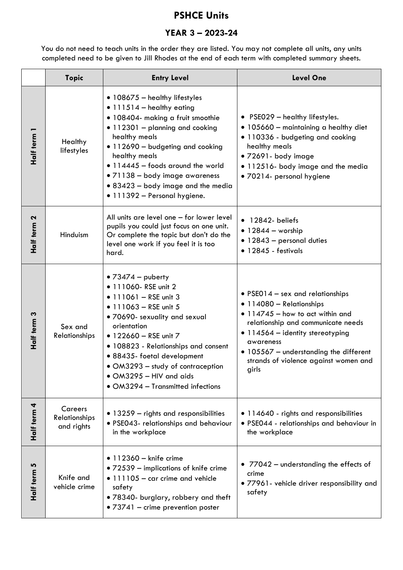## **PSHCE Units**

## **YEAR 3 – 2023-24**

You do not need to teach units in the order they are listed. You may not complete all units, any units completed need to be given to Jill Rhodes at the end of each term with completed summary sheets.

|             | <b>Topic</b>                                  | <b>Entry Level</b>                                                                                                                                                                                                                                                                                                                                                         | <b>Level One</b>                                                                                                                                                                                                                                                                            |
|-------------|-----------------------------------------------|----------------------------------------------------------------------------------------------------------------------------------------------------------------------------------------------------------------------------------------------------------------------------------------------------------------------------------------------------------------------------|---------------------------------------------------------------------------------------------------------------------------------------------------------------------------------------------------------------------------------------------------------------------------------------------|
| Half term 1 | Healthy<br>lifestyles                         | $\bullet$ 108675 - healthy lifestyles<br>$\bullet$ 111514 - healthy eating<br>· 108404- making a fruit smoothie<br>• 112301 - planning and cooking<br>healthy meals<br>· 112690 - budgeting and cooking<br>healthy meals<br>· 114445 - foods around the world<br>• 71138 - body image awareness<br>• 83423 – body image and the media<br>· 111392 - Personal hygiene.      | • PSE029 - healthy lifestyles.<br>• 105660 - maintaining a healthy diet<br>· 110336 - budgeting and cooking<br>healthy meals<br>· 72691- body image<br>• 112516- body image and the media<br>· 70214- personal hygiene                                                                      |
| Half term 2 | Hinduism                                      | All units are level one - for lower level<br>pupils you could just focus on one unit.<br>Or complete the topic but don't do the<br>level one work if you feel it is too<br>hard.                                                                                                                                                                                           | $\bullet$ 12842- beliefs<br>$\bullet$ 12844 – worship<br>• 12843 - personal duties<br>$\bullet$ 12845 - festivals                                                                                                                                                                           |
| Half term 3 | Sex and<br>Relationships                      | • $73474 -$ puberty<br>• 111060- RSE unit 2<br>$\bullet$ 111061 - RSE unit 3<br>$\bullet$ 111063 - RSE unit 5<br>. 70690- sexuality and sexual<br>orientation<br>• 122660 - RSE unit 7<br>• 108823 - Relationships and consent<br>· 88435- foetal development<br>• OM3293 – study of contraception<br>$\bullet$ OM3295 - HIV and aids<br>• OM3294 - Transmitted infections | • PSE014 – sex and relationships<br>• 114080 - Relationships<br>$\bullet$ 114745 - how to act within and<br>relationship and communicate needs<br>• 114564 - identity stereotyping<br>awareness<br>• 105567 - understanding the different<br>strands of violence against women and<br>girls |
| Half term 4 | Careers<br><b>Relationships</b><br>and rights | • 13259 - rights and responsibilities<br>· PSE043- relationships and behaviour<br>in the workplace                                                                                                                                                                                                                                                                         | • 114640 - rights and responsibilities<br>· PSE044 - relationships and behaviour in<br>the workplace                                                                                                                                                                                        |
| Half term 5 | Knife and<br>vehicle crime                    | $\bullet$ 112360 - knife crime<br>• 72539 – implications of knife crime<br>• 111105 - car crime and vehicle<br>safety<br>. 78340- burglary, robbery and theft<br>• 73741 – crime prevention poster                                                                                                                                                                         | • 77042 - understanding the effects of<br>crime<br>· 77961- vehicle driver responsibility and<br>safety                                                                                                                                                                                     |